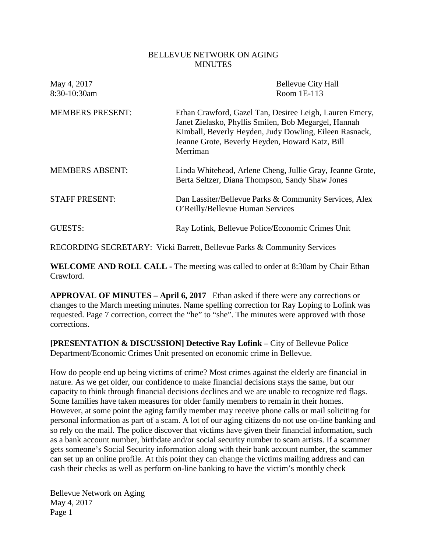### BELLEVUE NETWORK ON AGING **MINUTES**

| May 4, 2017<br>8:30-10:30am | <b>Bellevue City Hall</b><br>Room 1E-113                                                                                                                                                                                                 |
|-----------------------------|------------------------------------------------------------------------------------------------------------------------------------------------------------------------------------------------------------------------------------------|
| <b>MEMBERS PRESENT:</b>     | Ethan Crawford, Gazel Tan, Desiree Leigh, Lauren Emery,<br>Janet Zielasko, Phyllis Smilen, Bob Megargel, Hannah<br>Kimball, Beverly Heyden, Judy Dowling, Eileen Rasnack,<br>Jeanne Grote, Beverly Heyden, Howard Katz, Bill<br>Merriman |
| <b>MEMBERS ABSENT:</b>      | Linda Whitehead, Arlene Cheng, Jullie Gray, Jeanne Grote,<br>Berta Seltzer, Diana Thompson, Sandy Shaw Jones                                                                                                                             |
| <b>STAFF PRESENT:</b>       | Dan Lassiter/Bellevue Parks & Community Services, Alex<br>O'Reilly/Bellevue Human Services                                                                                                                                               |
| GUESTS:                     | Ray Lofink, Bellevue Police/Economic Crimes Unit                                                                                                                                                                                         |

RECORDING SECRETARY: Vicki Barrett, Bellevue Parks & Community Services

**WELCOME AND ROLL CALL -** The meeting was called to order at 8:30am by Chair Ethan Crawford.

**APPROVAL OF MINUTES – April 6, 2017** Ethan asked if there were any corrections or changes to the March meeting minutes. Name spelling correction for Ray Loping to Lofink was requested. Page 7 correction, correct the "he" to "she". The minutes were approved with those corrections.

**[PRESENTATION & DISCUSSION] Detective Ray Lofink –** City of Bellevue Police Department/Economic Crimes Unit presented on economic crime in Bellevue.

How do people end up being victims of crime? Most crimes against the elderly are financial in nature. As we get older, our confidence to make financial decisions stays the same, but our capacity to think through financial decisions declines and we are unable to recognize red flags. Some families have taken measures for older family members to remain in their homes. However, at some point the aging family member may receive phone calls or mail soliciting for personal information as part of a scam. A lot of our aging citizens do not use on-line banking and so rely on the mail. The police discover that victims have given their financial information, such as a bank account number, birthdate and/or social security number to scam artists. If a scammer gets someone's Social Security information along with their bank account number, the scammer can set up an online profile. At this point they can change the victims mailing address and can cash their checks as well as perform on-line banking to have the victim's monthly check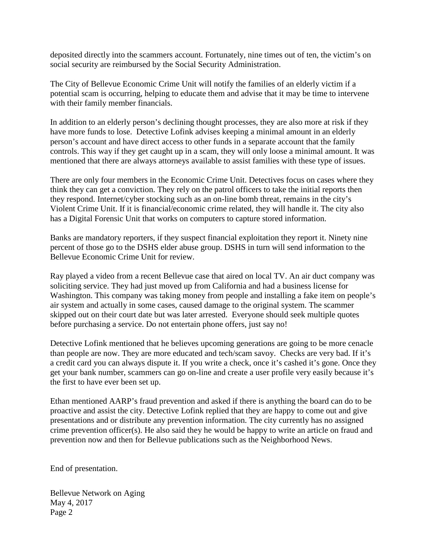deposited directly into the scammers account. Fortunately, nine times out of ten, the victim's on social security are reimbursed by the Social Security Administration.

The City of Bellevue Economic Crime Unit will notify the families of an elderly victim if a potential scam is occurring, helping to educate them and advise that it may be time to intervene with their family member financials.

In addition to an elderly person's declining thought processes, they are also more at risk if they have more funds to lose. Detective Lofink advises keeping a minimal amount in an elderly person's account and have direct access to other funds in a separate account that the family controls. This way if they get caught up in a scam, they will only loose a minimal amount. It was mentioned that there are always attorneys available to assist families with these type of issues.

There are only four members in the Economic Crime Unit. Detectives focus on cases where they think they can get a conviction. They rely on the patrol officers to take the initial reports then they respond. Internet/cyber stocking such as an on-line bomb threat, remains in the city's Violent Crime Unit. If it is financial/economic crime related, they will handle it. The city also has a Digital Forensic Unit that works on computers to capture stored information.

Banks are mandatory reporters, if they suspect financial exploitation they report it. Ninety nine percent of those go to the DSHS elder abuse group. DSHS in turn will send information to the Bellevue Economic Crime Unit for review.

Ray played a video from a recent Bellevue case that aired on local TV. An air duct company was soliciting service. They had just moved up from California and had a business license for Washington. This company was taking money from people and installing a fake item on people's air system and actually in some cases, caused damage to the original system. The scammer skipped out on their court date but was later arrested. Everyone should seek multiple quotes before purchasing a service. Do not entertain phone offers, just say no!

Detective Lofink mentioned that he believes upcoming generations are going to be more cenacle than people are now. They are more educated and tech/scam savoy. Checks are very bad. If it's a credit card you can always dispute it. If you write a check, once it's cashed it's gone. Once they get your bank number, scammers can go on-line and create a user profile very easily because it's the first to have ever been set up.

Ethan mentioned AARP's fraud prevention and asked if there is anything the board can do to be proactive and assist the city. Detective Lofink replied that they are happy to come out and give presentations and or distribute any prevention information. The city currently has no assigned crime prevention officer(s). He also said they he would be happy to write an article on fraud and prevention now and then for Bellevue publications such as the Neighborhood News.

End of presentation.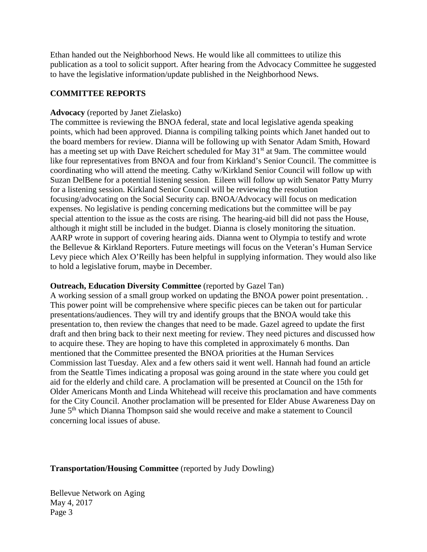Ethan handed out the Neighborhood News. He would like all committees to utilize this publication as a tool to solicit support. After hearing from the Advocacy Committee he suggested to have the legislative information/update published in the Neighborhood News.

### **COMMITTEE REPORTS**

### **Advocacy** (reported by Janet Zielasko)

The committee is reviewing the BNOA federal, state and local legislative agenda speaking points, which had been approved. Dianna is compiling talking points which Janet handed out to the board members for review. Dianna will be following up with Senator Adam Smith, Howard has a meeting set up with Dave Reichert scheduled for May 31<sup>st</sup> at 9am. The committee would like four representatives from BNOA and four from Kirkland's Senior Council. The committee is coordinating who will attend the meeting. Cathy w/Kirkland Senior Council will follow up with Suzan DelBene for a potential listening session. Eileen will follow up with Senator Patty Murry for a listening session. Kirkland Senior Council will be reviewing the resolution focusing/advocating on the Social Security cap. BNOA/Advocacy will focus on medication expenses. No legislative is pending concerning medications but the committee will be pay special attention to the issue as the costs are rising. The hearing-aid bill did not pass the House, although it might still be included in the budget. Dianna is closely monitoring the situation. AARP wrote in support of covering hearing aids. Dianna went to Olympia to testify and wrote the Bellevue & Kirkland Reporters. Future meetings will focus on the Veteran's Human Service Levy piece which Alex O'Reilly has been helpful in supplying information. They would also like to hold a legislative forum, maybe in December.

### **Outreach, Education Diversity Committee** (reported by Gazel Tan)

A working session of a small group worked on updating the BNOA power point presentation. . This power point will be comprehensive where specific pieces can be taken out for particular presentations/audiences. They will try and identify groups that the BNOA would take this presentation to, then review the changes that need to be made. Gazel agreed to update the first draft and then bring back to their next meeting for review. They need pictures and discussed how to acquire these. They are hoping to have this completed in approximately 6 months. Dan mentioned that the Committee presented the BNOA priorities at the Human Services Commission last Tuesday. Alex and a few others said it went well. Hannah had found an article from the Seattle Times indicating a proposal was going around in the state where you could get aid for the elderly and child care. A proclamation will be presented at Council on the 15th for Older Americans Month and Linda Whitehead will receive this proclamation and have comments for the City Council. Another proclamation will be presented for Elder Abuse Awareness Day on June 5<sup>th</sup> which Dianna Thompson said she would receive and make a statement to Council concerning local issues of abuse.

## **Transportation/Housing Committee** (reported by Judy Dowling)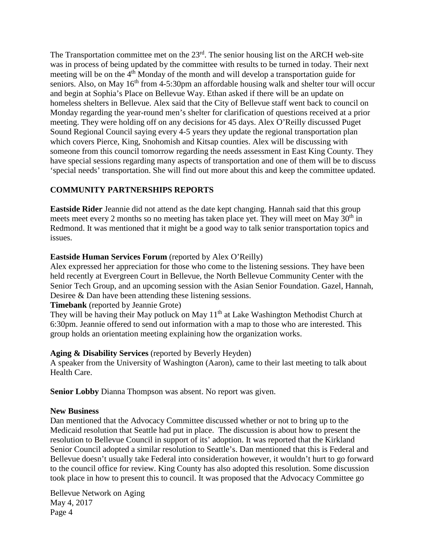The Transportation committee met on the 23<sup>rd</sup>. The senior housing list on the ARCH web-site was in process of being updated by the committee with results to be turned in today. Their next meeting will be on the 4<sup>th</sup> Monday of the month and will develop a transportation guide for seniors. Also, on May  $16<sup>th</sup>$  from 4-5:30pm an affordable housing walk and shelter tour will occur and begin at Sophia's Place on Bellevue Way. Ethan asked if there will be an update on homeless shelters in Bellevue. Alex said that the City of Bellevue staff went back to council on Monday regarding the year-round men's shelter for clarification of questions received at a prior meeting. They were holding off on any decisions for 45 days. Alex O'Reilly discussed Puget Sound Regional Council saying every 4-5 years they update the regional transportation plan which covers Pierce, King, Snohomish and Kitsap counties. Alex will be discussing with someone from this council tomorrow regarding the needs assessment in East King County. They have special sessions regarding many aspects of transportation and one of them will be to discuss 'special needs' transportation. She will find out more about this and keep the committee updated.

# **COMMUNITY PARTNERSHIPS REPORTS**

**Eastside Rider** Jeannie did not attend as the date kept changing. Hannah said that this group meets meet every 2 months so no meeting has taken place yet. They will meet on May 30<sup>th</sup> in Redmond. It was mentioned that it might be a good way to talk senior transportation topics and issues.

# **Eastside Human Services Forum** (reported by Alex O'Reilly)

Alex expressed her appreciation for those who come to the listening sessions. They have been held recently at Evergreen Court in Bellevue, the North Bellevue Community Center with the Senior Tech Group, and an upcoming session with the Asian Senior Foundation. Gazel, Hannah, Desiree & Dan have been attending these listening sessions.

## **Timebank** (reported by Jeannie Grote)

They will be having their May potluck on May 11<sup>th</sup> at Lake Washington Methodist Church at 6:30pm. Jeannie offered to send out information with a map to those who are interested. This group holds an orientation meeting explaining how the organization works.

# **Aging & Disability Services** (reported by Beverly Heyden)

A speaker from the University of Washington (Aaron), came to their last meeting to talk about Health Care.

**Senior Lobby** Dianna Thompson was absent. No report was given.

# **New Business**

Dan mentioned that the Advocacy Committee discussed whether or not to bring up to the Medicaid resolution that Seattle had put in place. The discussion is about how to present the resolution to Bellevue Council in support of its' adoption. It was reported that the Kirkland Senior Council adopted a similar resolution to Seattle's. Dan mentioned that this is Federal and Bellevue doesn't usually take Federal into consideration however, it wouldn't hurt to go forward to the council office for review. King County has also adopted this resolution. Some discussion took place in how to present this to council. It was proposed that the Advocacy Committee go